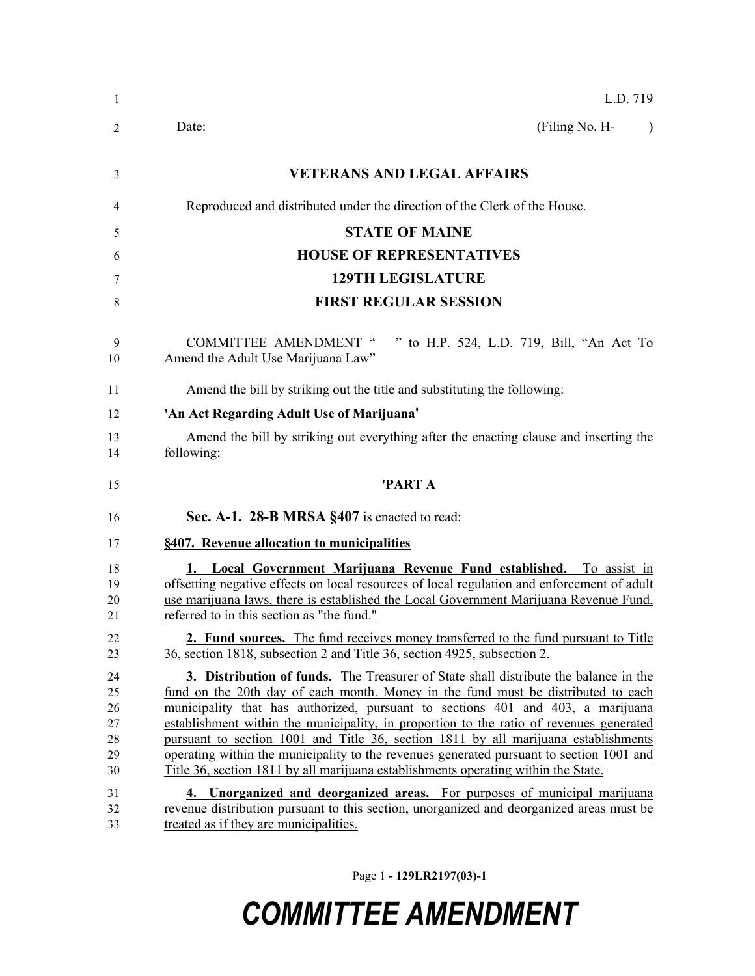| $\mathbf{1}$                           | L.D. 719                                                                                                                                                                                                                                                                                                                                                                                                                                                                                                                                                                                                                                |
|----------------------------------------|-----------------------------------------------------------------------------------------------------------------------------------------------------------------------------------------------------------------------------------------------------------------------------------------------------------------------------------------------------------------------------------------------------------------------------------------------------------------------------------------------------------------------------------------------------------------------------------------------------------------------------------------|
| 2                                      | (Filing No. H-<br>Date:<br>$\lambda$                                                                                                                                                                                                                                                                                                                                                                                                                                                                                                                                                                                                    |
| 3                                      | <b>VETERANS AND LEGAL AFFAIRS</b>                                                                                                                                                                                                                                                                                                                                                                                                                                                                                                                                                                                                       |
| 4                                      | Reproduced and distributed under the direction of the Clerk of the House.                                                                                                                                                                                                                                                                                                                                                                                                                                                                                                                                                               |
| 5                                      | <b>STATE OF MAINE</b>                                                                                                                                                                                                                                                                                                                                                                                                                                                                                                                                                                                                                   |
| 6                                      | <b>HOUSE OF REPRESENTATIVES</b>                                                                                                                                                                                                                                                                                                                                                                                                                                                                                                                                                                                                         |
| 7                                      | <b>129TH LEGISLATURE</b>                                                                                                                                                                                                                                                                                                                                                                                                                                                                                                                                                                                                                |
| 8                                      | <b>FIRST REGULAR SESSION</b>                                                                                                                                                                                                                                                                                                                                                                                                                                                                                                                                                                                                            |
| 9<br>10                                | <b>COMMITTEE AMENDMENT "</b><br>" to H.P. 524, L.D. 719, Bill, "An Act To<br>Amend the Adult Use Marijuana Law"                                                                                                                                                                                                                                                                                                                                                                                                                                                                                                                         |
| 11                                     | Amend the bill by striking out the title and substituting the following:                                                                                                                                                                                                                                                                                                                                                                                                                                                                                                                                                                |
| 12                                     | 'An Act Regarding Adult Use of Marijuana'                                                                                                                                                                                                                                                                                                                                                                                                                                                                                                                                                                                               |
| 13<br>14                               | Amend the bill by striking out everything after the enacting clause and inserting the<br>following:                                                                                                                                                                                                                                                                                                                                                                                                                                                                                                                                     |
| 15                                     | 'PART A                                                                                                                                                                                                                                                                                                                                                                                                                                                                                                                                                                                                                                 |
| 16                                     | Sec. A-1. 28-B MRSA §407 is enacted to read:                                                                                                                                                                                                                                                                                                                                                                                                                                                                                                                                                                                            |
| 17                                     | §407. Revenue allocation to municipalities                                                                                                                                                                                                                                                                                                                                                                                                                                                                                                                                                                                              |
| 18<br>19<br>20<br>21                   | 1. Local Government Marijuana Revenue Fund established. To assist in<br>offsetting negative effects on local resources of local regulation and enforcement of adult<br>use marijuana laws, there is established the Local Government Marijuana Revenue Fund,<br>referred to in this section as "the fund."                                                                                                                                                                                                                                                                                                                              |
| 22<br>23                               | 2. Fund sources. The fund receives money transferred to the fund pursuant to Title<br>36, section 1818, subsection 2 and Title 36, section 4925, subsection 2.                                                                                                                                                                                                                                                                                                                                                                                                                                                                          |
| 24<br>25<br>26<br>27<br>28<br>29<br>30 | <b>3. Distribution of funds.</b> The Treasurer of State shall distribute the balance in the<br>fund on the 20th day of each month. Money in the fund must be distributed to each<br>municipality that has authorized, pursuant to sections 401 and 403, a marijuana<br>establishment within the municipality, in proportion to the ratio of revenues generated<br>pursuant to section 1001 and Title 36, section 1811 by all marijuana establishments<br>operating within the municipality to the revenues generated pursuant to section 1001 and<br>Title 36, section 1811 by all marijuana establishments operating within the State. |
| 31<br>32<br>33                         | 4. Unorganized and deorganized areas. For purposes of municipal marijuana<br>revenue distribution pursuant to this section, unorganized and deorganized areas must be<br>treated as if they are municipalities.                                                                                                                                                                                                                                                                                                                                                                                                                         |

Page 1 **- 129LR2197(03)-1**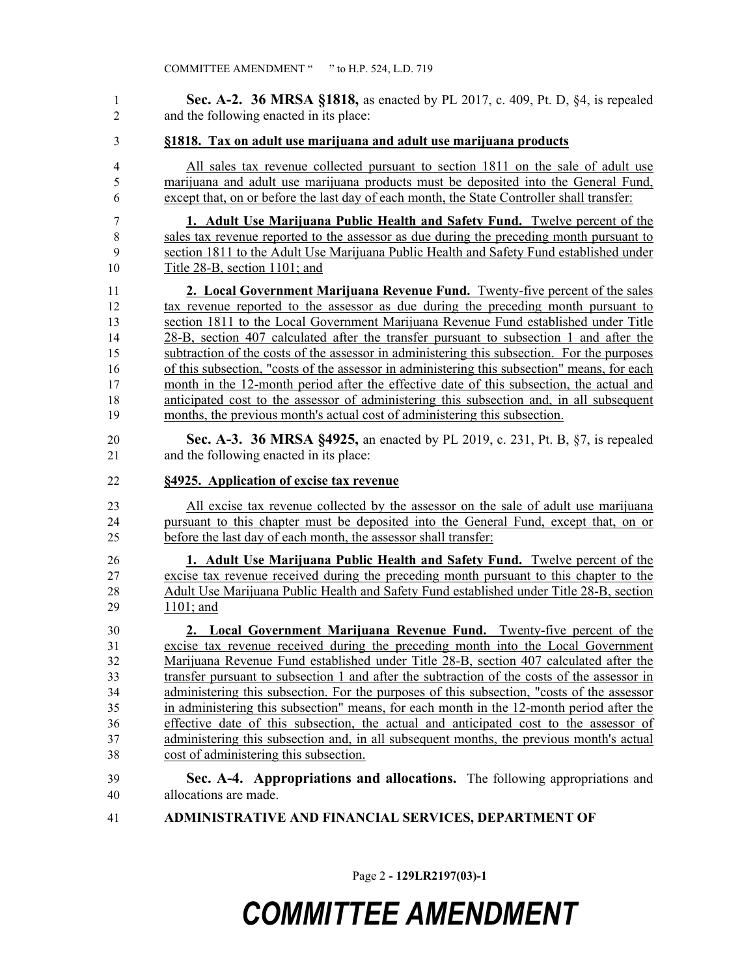**Sec. A-2. 36 MRSA §1818,** as enacted by PL 2017, c. 409, Pt. D, §4, is repealed and the following enacted in its place:

#### **§1818. Tax on adult use marijuana and adult use marijuana products**

 All sales tax revenue collected pursuant to section 1811 on the sale of adult use marijuana and adult use marijuana products must be deposited into the General Fund, except that, on or before the last day of each month, the State Controller shall transfer:

 **1. Adult Use Marijuana Public Health and Safety Fund.** Twelve percent of the sales tax revenue reported to the assessor as due during the preceding month pursuant to section 1811 to the Adult Use Marijuana Public Health and Safety Fund established under Title 28-B, section 1101; and

 **2. Local Government Marijuana Revenue Fund.** Twenty-five percent of the sales tax revenue reported to the assessor as due during the preceding month pursuant to section 1811 to the Local Government Marijuana Revenue Fund established under Title 28-B, section 407 calculated after the transfer pursuant to subsection 1 and after the subtraction of the costs of the assessor in administering this subsection. For the purposes of this subsection, "costs of the assessor in administering this subsection" means, for each 17 month in the 12-month period after the effective date of this subsection, the actual and anticipated cost to the assessor of administering this subsection and, in all subsequent months, the previous month's actual cost of administering this subsection.

 **Sec. A-3. 36 MRSA §4925,** an enacted by PL 2019, c. 231, Pt. B, §7, is repealed and the following enacted in its place:

#### **§4925. Application of excise tax revenue**

 All excise tax revenue collected by the assessor on the sale of adult use marijuana pursuant to this chapter must be deposited into the General Fund, except that, on or before the last day of each month, the assessor shall transfer:

 **1. Adult Use Marijuana Public Health and Safety Fund.** Twelve percent of the excise tax revenue received during the preceding month pursuant to this chapter to the Adult Use Marijuana Public Health and Safety Fund established under Title 28-B, section 1101; and

 **2. Local Government Marijuana Revenue Fund.** Twenty-five percent of the excise tax revenue received during the preceding month into the Local Government Marijuana Revenue Fund established under Title 28-B, section 407 calculated after the transfer pursuant to subsection 1 and after the subtraction of the costs of the assessor in administering this subsection. For the purposes of this subsection, "costs of the assessor in administering this subsection" means, for each month in the 12-month period after the effective date of this subsection, the actual and anticipated cost to the assessor of administering this subsection and, in all subsequent months, the previous month's actual cost of administering this subsection.

### **Sec. A-4. Appropriations and allocations.** The following appropriations and allocations are made.

**ADMINISTRATIVE AND FINANCIAL SERVICES, DEPARTMENT OF**

Page 2 **- 129LR2197(03)-1**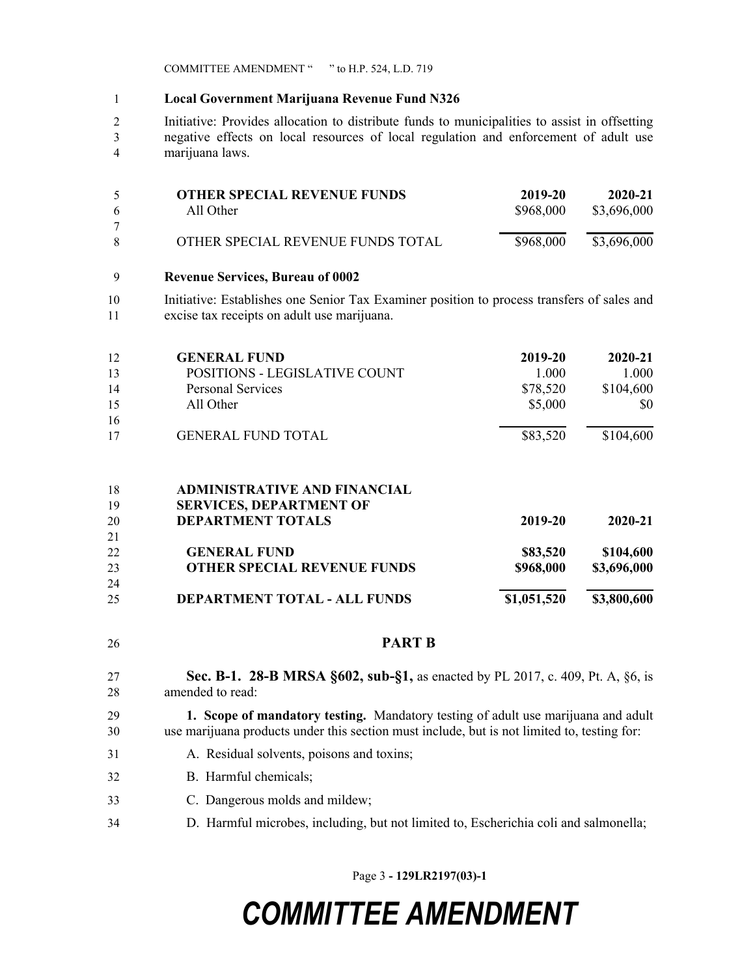COMMITTEE AMENDMENT " " to H.P. 524, L.D. 719

#### **Local Government Marijuana Revenue Fund N326**

 Initiative: Provides allocation to distribute funds to municipalities to assist in offsetting negative effects on local resources of local regulation and enforcement of adult use marijuana laws.

| 5  | <b>OTHER SPECIAL REVENUE FUNDS</b> | 2019-20   | 2020-21     |
|----|------------------------------------|-----------|-------------|
| -6 | All Other                          | \$968,000 | \$3,696,000 |
|    |                                    |           |             |
| -8 | OTHER SPECIAL REVENUE FUNDS TOTAL  | \$968,000 | \$3,696,000 |
|    |                                    |           |             |

#### **Revenue Services, Bureau of 0002**

 Initiative: Establishes one Senior Tax Examiner position to process transfers of sales and excise tax receipts on adult use marijuana.

| 12             | <b>GENERAL FUND</b>                                                                               | 2019-20     | 2020-21     |
|----------------|---------------------------------------------------------------------------------------------------|-------------|-------------|
| 13             | POSITIONS - LEGISLATIVE COUNT                                                                     | 1.000       | 1.000       |
| 14             | <b>Personal Services</b>                                                                          | \$78,520    | \$104,600   |
| 15             | All Other                                                                                         | \$5,000     | \$0         |
| 16             |                                                                                                   |             |             |
| 17             | <b>GENERAL FUND TOTAL</b>                                                                         | \$83,520    | \$104,600   |
| 18<br>19<br>20 | <b>ADMINISTRATIVE AND FINANCIAL</b><br><b>SERVICES, DEPARTMENT OF</b><br><b>DEPARTMENT TOTALS</b> | 2019-20     | 2020-21     |
| 21             |                                                                                                   |             |             |
| 22             | <b>GENERAL FUND</b>                                                                               | \$83,520    | \$104,600   |
| 23             | <b>OTHER SPECIAL REVENUE FUNDS</b>                                                                | \$968,000   | \$3,696,000 |
| 24             |                                                                                                   |             |             |
| 25             | <b>DEPARTMENT TOTAL - ALL FUNDS</b>                                                               | \$1,051,520 | \$3,800,600 |

**PART B**

 **Sec. B-1. 28-B MRSA §602, sub-§1,** as enacted by PL 2017, c. 409, Pt. A, §6, is amended to read:

#### **1. Scope of mandatory testing.** Mandatory testing of adult use marijuana and adult use marijuana products under this section must include, but is not limited to, testing for:

- A. Residual solvents, poisons and toxins;
- B. Harmful chemicals;
- C. Dangerous molds and mildew;
- D. Harmful microbes, including, but not limited to, Escherichia coli and salmonella;

Page 3 **- 129LR2197(03)-1**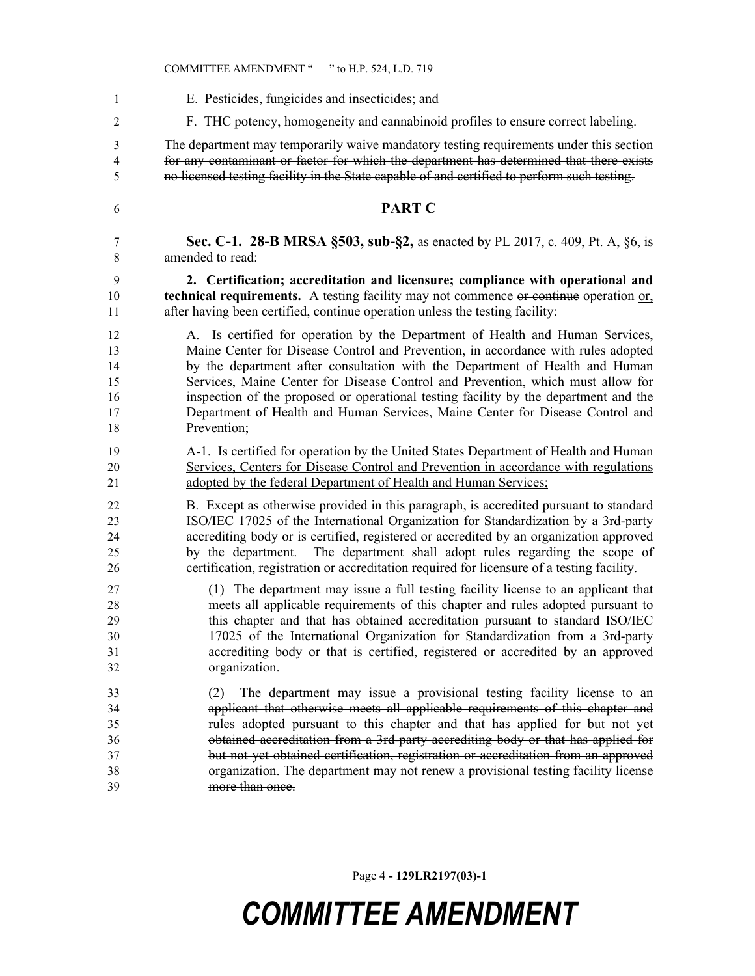E. Pesticides, fungicides and insecticides; and F. THC potency, homogeneity and cannabinoid profiles to ensure correct labeling. The department may temporarily waive mandatory testing requirements under this section for any contaminant or factor for which the department has determined that there exists no licensed testing facility in the State capable of and certified to perform such testing. **PART C Sec. C-1. 28-B MRSA §503, sub-§2,** as enacted by PL 2017, c. 409, Pt. A, §6, is amended to read: **2. Certification; accreditation and licensure; compliance with operational and technical requirements.** A testing facility may not commence or continue operation or, 11 after having been certified, continue operation unless the testing facility: A. Is certified for operation by the Department of Health and Human Services, Maine Center for Disease Control and Prevention, in accordance with rules adopted by the department after consultation with the Department of Health and Human Services, Maine Center for Disease Control and Prevention, which must allow for inspection of the proposed or operational testing facility by the department and the Department of Health and Human Services, Maine Center for Disease Control and Prevention; A-1. Is certified for operation by the United States Department of Health and Human Services, Centers for Disease Control and Prevention in accordance with regulations adopted by the federal Department of Health and Human Services; B. Except as otherwise provided in this paragraph, is accredited pursuant to standard ISO/IEC 17025 of the International Organization for Standardization by a 3rd-party accrediting body or is certified, registered or accredited by an organization approved by the department. The department shall adopt rules regarding the scope of certification, registration or accreditation required for licensure of a testing facility. (1) The department may issue a full testing facility license to an applicant that meets all applicable requirements of this chapter and rules adopted pursuant to this chapter and that has obtained accreditation pursuant to standard ISO/IEC 17025 of the International Organization for Standardization from a 3rd-party accrediting body or that is certified, registered or accredited by an approved organization. (2) The department may issue a provisional testing facility license to an applicant that otherwise meets all applicable requirements of this chapter and rules adopted pursuant to this chapter and that has applied for but not yet obtained accreditation from a 3rd-party accrediting body or that has applied for but not yet obtained certification, registration or accreditation from an approved organization. The department may not renew a provisional testing facility license more than once.

Page 4 **- 129LR2197(03)-1**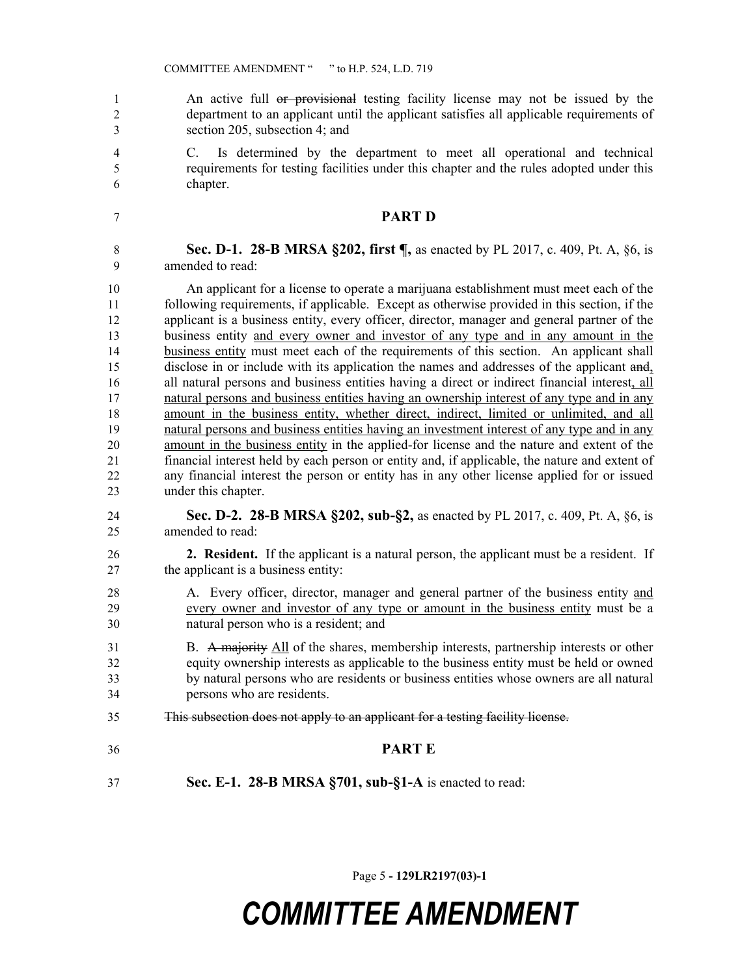1 An active full or provisional testing facility license may not be issued by the department to an applicant until the applicant satisfies all applicable requirements of section 205, subsection 4; and

 C. Is determined by the department to meet all operational and technical requirements for testing facilities under this chapter and the rules adopted under this chapter.

#### **PART D**

**Sec. D-1. 28-B MRSA §202, first ¶, as enacted by PL 2017, c. 409, Pt. A, §6, is** amended to read:

 An applicant for a license to operate a marijuana establishment must meet each of the following requirements, if applicable. Except as otherwise provided in this section, if the applicant is a business entity, every officer, director, manager and general partner of the business entity and every owner and investor of any type and in any amount in the business entity must meet each of the requirements of this section. An applicant shall disclose in or include with its application the names and addresses of the applicant and, all natural persons and business entities having a direct or indirect financial interest, all natural persons and business entities having an ownership interest of any type and in any 18 amount in the business entity, whether direct, indirect, limited or unlimited, and all natural persons and business entities having an investment interest of any type and in any amount in the business entity in the applied-for license and the nature and extent of the financial interest held by each person or entity and, if applicable, the nature and extent of any financial interest the person or entity has in any other license applied for or issued under this chapter.

- **Sec. D-2. 28-B MRSA §202, sub-§2,** as enacted by PL 2017, c. 409, Pt. A, §6, is amended to read:
- **2. Resident.** If the applicant is a natural person, the applicant must be a resident. If the applicant is a business entity:
- A. Every officer, director, manager and general partner of the business entity and every owner and investor of any type or amount in the business entity must be a natural person who is a resident; and
- B. A majority All of the shares, membership interests, partnership interests or other equity ownership interests as applicable to the business entity must be held or owned by natural persons who are residents or business entities whose owners are all natural persons who are residents.
- This subsection does not apply to an applicant for a testing facility license.
- **PART E**
- **Sec. E-1. 28-B MRSA §701, sub-§1-A** is enacted to read:

Page 5 **- 129LR2197(03)-1**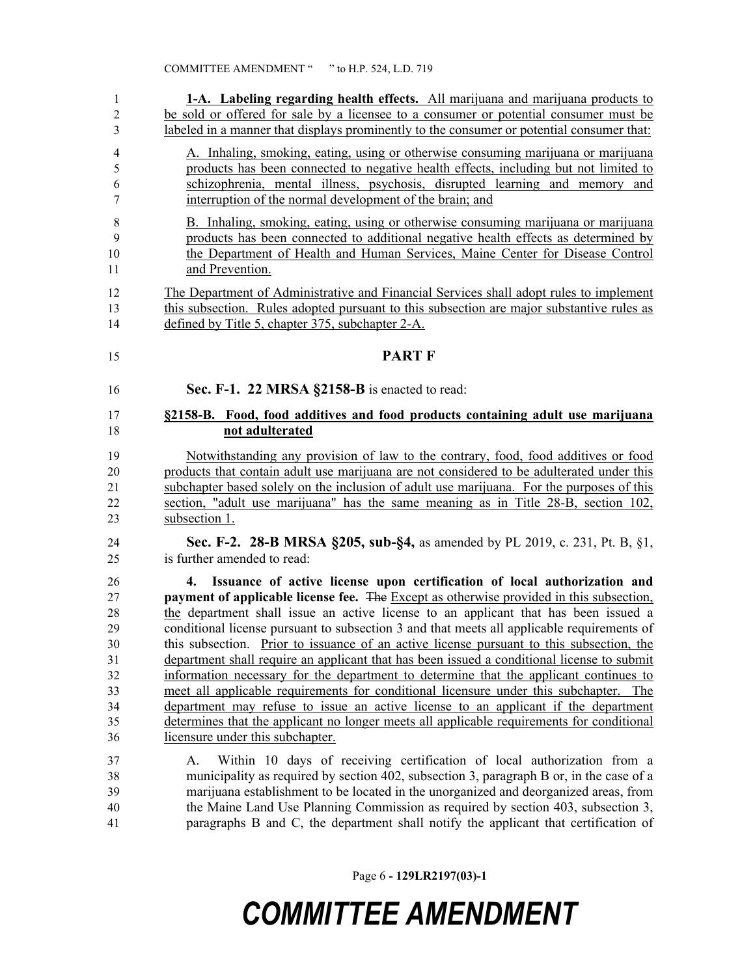| 1                                                              | 1-A. Labeling regarding health effects. All marijuana and marijuana products to                                                                                                                                                                                                                                                                                                                                                                                                                                                                                                                                                                                                                                                                                                                                                                                                                                                                                   |
|----------------------------------------------------------------|-------------------------------------------------------------------------------------------------------------------------------------------------------------------------------------------------------------------------------------------------------------------------------------------------------------------------------------------------------------------------------------------------------------------------------------------------------------------------------------------------------------------------------------------------------------------------------------------------------------------------------------------------------------------------------------------------------------------------------------------------------------------------------------------------------------------------------------------------------------------------------------------------------------------------------------------------------------------|
| $\overline{c}$                                                 | be sold or offered for sale by a licensee to a consumer or potential consumer must be                                                                                                                                                                                                                                                                                                                                                                                                                                                                                                                                                                                                                                                                                                                                                                                                                                                                             |
| 3                                                              | labeled in a manner that displays prominently to the consumer or potential consumer that:                                                                                                                                                                                                                                                                                                                                                                                                                                                                                                                                                                                                                                                                                                                                                                                                                                                                         |
| $\overline{4}$                                                 | A. Inhaling, smoking, eating, using or otherwise consuming marijuana or marijuana                                                                                                                                                                                                                                                                                                                                                                                                                                                                                                                                                                                                                                                                                                                                                                                                                                                                                 |
| 5                                                              | products has been connected to negative health effects, including but not limited to                                                                                                                                                                                                                                                                                                                                                                                                                                                                                                                                                                                                                                                                                                                                                                                                                                                                              |
| 6                                                              | schizophrenia, mental illness, psychosis, disrupted learning and memory and                                                                                                                                                                                                                                                                                                                                                                                                                                                                                                                                                                                                                                                                                                                                                                                                                                                                                       |
| 7                                                              | interruption of the normal development of the brain; and                                                                                                                                                                                                                                                                                                                                                                                                                                                                                                                                                                                                                                                                                                                                                                                                                                                                                                          |
| 8                                                              | B. Inhaling, smoking, eating, using or otherwise consuming marijuana or marijuana                                                                                                                                                                                                                                                                                                                                                                                                                                                                                                                                                                                                                                                                                                                                                                                                                                                                                 |
| 9                                                              | products has been connected to additional negative health effects as determined by                                                                                                                                                                                                                                                                                                                                                                                                                                                                                                                                                                                                                                                                                                                                                                                                                                                                                |
| 10                                                             | the Department of Health and Human Services, Maine Center for Disease Control                                                                                                                                                                                                                                                                                                                                                                                                                                                                                                                                                                                                                                                                                                                                                                                                                                                                                     |
| 11                                                             | and Prevention.                                                                                                                                                                                                                                                                                                                                                                                                                                                                                                                                                                                                                                                                                                                                                                                                                                                                                                                                                   |
| 12                                                             | The Department of Administrative and Financial Services shall adopt rules to implement                                                                                                                                                                                                                                                                                                                                                                                                                                                                                                                                                                                                                                                                                                                                                                                                                                                                            |
| 13                                                             | this subsection. Rules adopted pursuant to this subsection are major substantive rules as                                                                                                                                                                                                                                                                                                                                                                                                                                                                                                                                                                                                                                                                                                                                                                                                                                                                         |
| 14                                                             | defined by Title 5, chapter 375, subchapter 2-A.                                                                                                                                                                                                                                                                                                                                                                                                                                                                                                                                                                                                                                                                                                                                                                                                                                                                                                                  |
| 15                                                             | <b>PART F</b>                                                                                                                                                                                                                                                                                                                                                                                                                                                                                                                                                                                                                                                                                                                                                                                                                                                                                                                                                     |
| 16                                                             | Sec. F-1. 22 MRSA §2158-B is enacted to read:                                                                                                                                                                                                                                                                                                                                                                                                                                                                                                                                                                                                                                                                                                                                                                                                                                                                                                                     |
| 17                                                             | §2158-B. Food, food additives and food products containing adult use marijuana                                                                                                                                                                                                                                                                                                                                                                                                                                                                                                                                                                                                                                                                                                                                                                                                                                                                                    |
| 18                                                             | not adulterated                                                                                                                                                                                                                                                                                                                                                                                                                                                                                                                                                                                                                                                                                                                                                                                                                                                                                                                                                   |
| 19                                                             | Notwithstanding any provision of law to the contrary, food, food additives or food                                                                                                                                                                                                                                                                                                                                                                                                                                                                                                                                                                                                                                                                                                                                                                                                                                                                                |
| 20                                                             | products that contain adult use marijuana are not considered to be adulterated under this                                                                                                                                                                                                                                                                                                                                                                                                                                                                                                                                                                                                                                                                                                                                                                                                                                                                         |
| 21                                                             | subchapter based solely on the inclusion of adult use marijuana. For the purposes of this                                                                                                                                                                                                                                                                                                                                                                                                                                                                                                                                                                                                                                                                                                                                                                                                                                                                         |
| 22                                                             | section, "adult use marijuana" has the same meaning as in Title 28-B, section 102,                                                                                                                                                                                                                                                                                                                                                                                                                                                                                                                                                                                                                                                                                                                                                                                                                                                                                |
| 23                                                             | subsection 1.                                                                                                                                                                                                                                                                                                                                                                                                                                                                                                                                                                                                                                                                                                                                                                                                                                                                                                                                                     |
| 24                                                             | <b>Sec. F-2. 28-B MRSA §205, sub-§4, as amended by PL 2019, c. 231, Pt. B, §1,</b>                                                                                                                                                                                                                                                                                                                                                                                                                                                                                                                                                                                                                                                                                                                                                                                                                                                                                |
| 25                                                             | is further amended to read:                                                                                                                                                                                                                                                                                                                                                                                                                                                                                                                                                                                                                                                                                                                                                                                                                                                                                                                                       |
| 26<br>27<br>28<br>29<br>30<br>31<br>32<br>33<br>34<br>35<br>36 | Issuance of active license upon certification of local authorization and<br>4.<br>payment of applicable license fee. The Except as otherwise provided in this subsection,<br>the department shall issue an active license to an applicant that has been issued a<br>conditional license pursuant to subsection 3 and that meets all applicable requirements of<br>this subsection. Prior to issuance of an active license pursuant to this subsection, the<br>department shall require an applicant that has been issued a conditional license to submit<br>information necessary for the department to determine that the applicant continues to<br>meet all applicable requirements for conditional licensure under this subchapter. The<br>department may refuse to issue an active license to an applicant if the department<br>determines that the applicant no longer meets all applicable requirements for conditional<br>licensure under this subchapter. |
| 37<br>38<br>39<br>40<br>41                                     | Within 10 days of receiving certification of local authorization from a<br>A.<br>municipality as required by section 402, subsection 3, paragraph B or, in the case of a<br>marijuana establishment to be located in the unorganized and deorganized areas, from<br>the Maine Land Use Planning Commission as required by section 403, subsection 3,<br>paragraphs B and C, the department shall notify the applicant that certification of                                                                                                                                                                                                                                                                                                                                                                                                                                                                                                                       |

Page 6 **- 129LR2197(03)-1**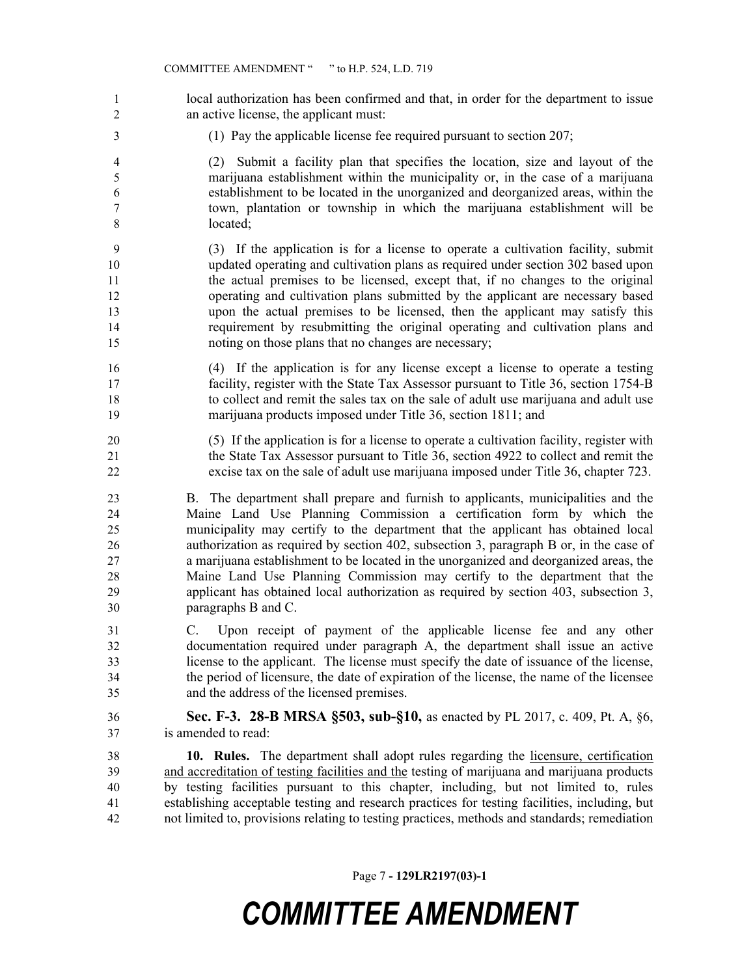- 1 local authorization has been confirmed and that, in order for the department to issue an active license, the applicant must:
- (1) Pay the applicable license fee required pursuant to section 207;
- (2) Submit a facility plan that specifies the location, size and layout of the marijuana establishment within the municipality or, in the case of a marijuana establishment to be located in the unorganized and deorganized areas, within the town, plantation or township in which the marijuana establishment will be located;
- (3) If the application is for a license to operate a cultivation facility, submit updated operating and cultivation plans as required under section 302 based upon the actual premises to be licensed, except that, if no changes to the original operating and cultivation plans submitted by the applicant are necessary based upon the actual premises to be licensed, then the applicant may satisfy this requirement by resubmitting the original operating and cultivation plans and noting on those plans that no changes are necessary;
- (4) If the application is for any license except a license to operate a testing facility, register with the State Tax Assessor pursuant to Title 36, section 1754-B to collect and remit the sales tax on the sale of adult use marijuana and adult use marijuana products imposed under Title 36, section 1811; and
- (5) If the application is for a license to operate a cultivation facility, register with the State Tax Assessor pursuant to Title 36, section 4922 to collect and remit the excise tax on the sale of adult use marijuana imposed under Title 36, chapter 723.
- B. The department shall prepare and furnish to applicants, municipalities and the Maine Land Use Planning Commission a certification form by which the municipality may certify to the department that the applicant has obtained local authorization as required by section 402, subsection 3, paragraph B or, in the case of a marijuana establishment to be located in the unorganized and deorganized areas, the Maine Land Use Planning Commission may certify to the department that the applicant has obtained local authorization as required by section 403, subsection 3, paragraphs B and C.
- C. Upon receipt of payment of the applicable license fee and any other documentation required under paragraph A, the department shall issue an active license to the applicant. The license must specify the date of issuance of the license, the period of licensure, the date of expiration of the license, the name of the licensee and the address of the licensed premises.
- **Sec. F-3. 28-B MRSA §503, sub-§10,** as enacted by PL 2017, c. 409, Pt. A, §6, is amended to read:

 **10. Rules.** The department shall adopt rules regarding the licensure, certification and accreditation of testing facilities and the testing of marijuana and marijuana products by testing facilities pursuant to this chapter, including, but not limited to, rules establishing acceptable testing and research practices for testing facilities, including, but not limited to, provisions relating to testing practices, methods and standards; remediation

Page 7 **- 129LR2197(03)-1**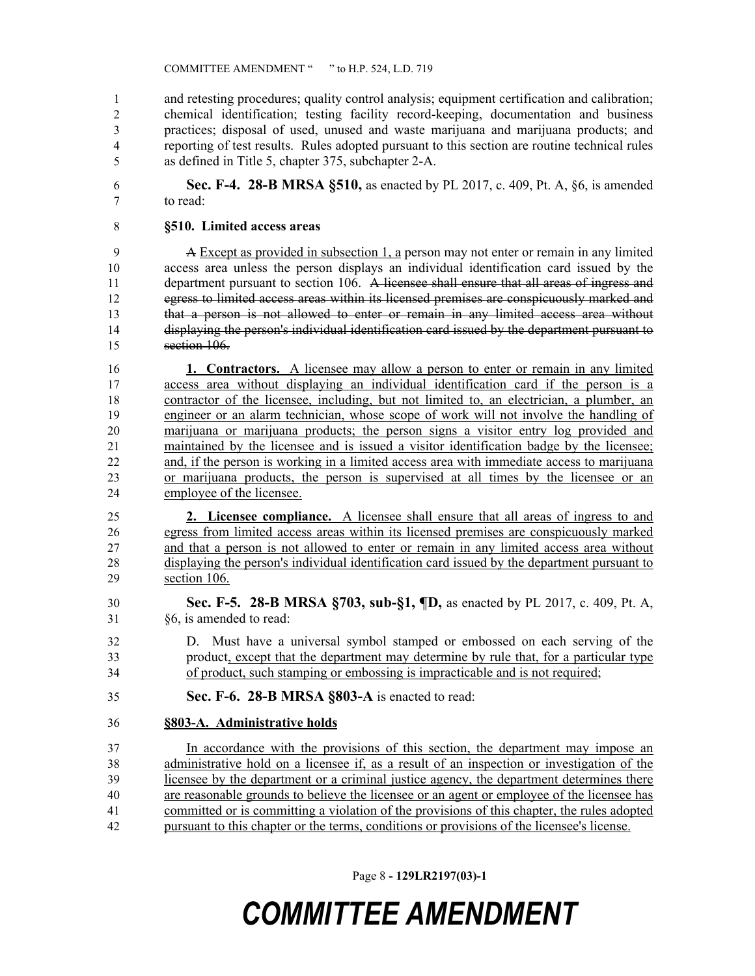and retesting procedures; quality control analysis; equipment certification and calibration; chemical identification; testing facility record-keeping, documentation and business practices; disposal of used, unused and waste marijuana and marijuana products; and reporting of test results. Rules adopted pursuant to this section are routine technical rules as defined in Title 5, chapter 375, subchapter 2-A.

 **Sec. F-4. 28-B MRSA §510,** as enacted by PL 2017, c. 409, Pt. A, §6, is amended to read:

#### **§510. Limited access areas**

 A Except as provided in subsection 1, a person may not enter or remain in any limited access area unless the person displays an individual identification card issued by the 11 department pursuant to section 106. A licensee shall ensure that all areas of ingress and 12 egress to limited access areas within its licensed premises are conspicuously marked and that a person is not allowed to enter or remain in any limited access area without displaying the person's individual identification card issued by the department pursuant to section 106.

 **1. Contractors.** A licensee may allow a person to enter or remain in any limited access area without displaying an individual identification card if the person is a contractor of the licensee, including, but not limited to, an electrician, a plumber, an engineer or an alarm technician, whose scope of work will not involve the handling of marijuana or marijuana products; the person signs a visitor entry log provided and maintained by the licensee and is issued a visitor identification badge by the licensee; and, if the person is working in a limited access area with immediate access to marijuana or marijuana products, the person is supervised at all times by the licensee or an employee of the licensee.

 **2. Licensee compliance.** A licensee shall ensure that all areas of ingress to and egress from limited access areas within its licensed premises are conspicuously marked and that a person is not allowed to enter or remain in any limited access area without displaying the person's individual identification card issued by the department pursuant to section 106.

- **Sec. F-5. 28-B MRSA §703, sub-§1, ¶D,** as enacted by PL 2017, c. 409, Pt. A, §6, is amended to read:
- D. Must have a universal symbol stamped or embossed on each serving of the product, except that the department may determine by rule that, for a particular type of product, such stamping or embossing is impracticable and is not required;
- **Sec. F-6. 28-B MRSA §803-A** is enacted to read:
- **§803-A. Administrative holds**

 In accordance with the provisions of this section, the department may impose an administrative hold on a licensee if, as a result of an inspection or investigation of the licensee by the department or a criminal justice agency, the department determines there are reasonable grounds to believe the licensee or an agent or employee of the licensee has committed or is committing a violation of the provisions of this chapter, the rules adopted pursuant to this chapter or the terms, conditions or provisions of the licensee's license.

Page 8 **- 129LR2197(03)-1**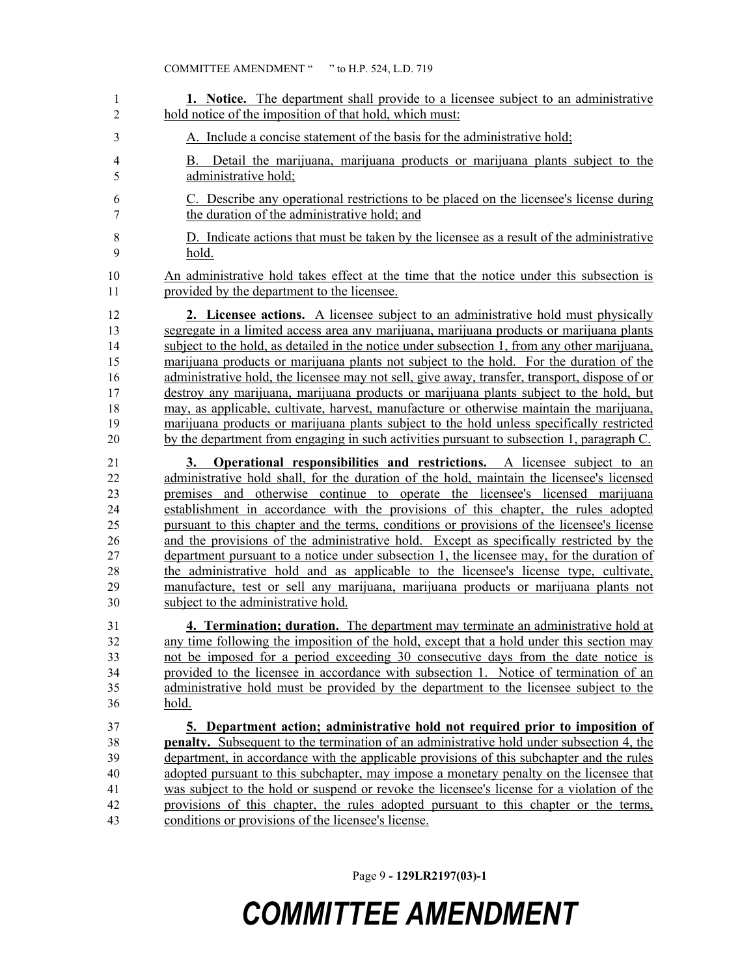| 1                                                        | 1. Notice. The department shall provide to a licensee subject to an administrative                                                                                                                                                                                                                                                                                                                                                                                                                                                                                                                                                                                                                                                                                                                                                                                  |
|----------------------------------------------------------|---------------------------------------------------------------------------------------------------------------------------------------------------------------------------------------------------------------------------------------------------------------------------------------------------------------------------------------------------------------------------------------------------------------------------------------------------------------------------------------------------------------------------------------------------------------------------------------------------------------------------------------------------------------------------------------------------------------------------------------------------------------------------------------------------------------------------------------------------------------------|
| 2                                                        | hold notice of the imposition of that hold, which must:                                                                                                                                                                                                                                                                                                                                                                                                                                                                                                                                                                                                                                                                                                                                                                                                             |
| 3                                                        | A. Include a concise statement of the basis for the administrative hold;                                                                                                                                                                                                                                                                                                                                                                                                                                                                                                                                                                                                                                                                                                                                                                                            |
| 4<br>5                                                   | Detail the marijuana, marijuana products or marijuana plants subject to the<br>В.<br>administrative hold;                                                                                                                                                                                                                                                                                                                                                                                                                                                                                                                                                                                                                                                                                                                                                           |
| 6                                                        | C. Describe any operational restrictions to be placed on the licensee's license during                                                                                                                                                                                                                                                                                                                                                                                                                                                                                                                                                                                                                                                                                                                                                                              |
| 7                                                        | the duration of the administrative hold; and                                                                                                                                                                                                                                                                                                                                                                                                                                                                                                                                                                                                                                                                                                                                                                                                                        |
| 8                                                        | D. Indicate actions that must be taken by the licensee as a result of the administrative                                                                                                                                                                                                                                                                                                                                                                                                                                                                                                                                                                                                                                                                                                                                                                            |
| 9                                                        | hold.                                                                                                                                                                                                                                                                                                                                                                                                                                                                                                                                                                                                                                                                                                                                                                                                                                                               |
| 10                                                       | An administrative hold takes effect at the time that the notice under this subsection is                                                                                                                                                                                                                                                                                                                                                                                                                                                                                                                                                                                                                                                                                                                                                                            |
| 11                                                       | provided by the department to the licensee.                                                                                                                                                                                                                                                                                                                                                                                                                                                                                                                                                                                                                                                                                                                                                                                                                         |
| 12                                                       | 2. Licensee actions. A licensee subject to an administrative hold must physically                                                                                                                                                                                                                                                                                                                                                                                                                                                                                                                                                                                                                                                                                                                                                                                   |
| 13                                                       | segregate in a limited access area any marijuana, marijuana products or marijuana plants                                                                                                                                                                                                                                                                                                                                                                                                                                                                                                                                                                                                                                                                                                                                                                            |
| 14                                                       | subject to the hold, as detailed in the notice under subsection 1, from any other marijuana,                                                                                                                                                                                                                                                                                                                                                                                                                                                                                                                                                                                                                                                                                                                                                                        |
| 15                                                       | marijuana products or marijuana plants not subject to the hold. For the duration of the                                                                                                                                                                                                                                                                                                                                                                                                                                                                                                                                                                                                                                                                                                                                                                             |
| 16                                                       | administrative hold, the licensee may not sell, give away, transfer, transport, dispose of or                                                                                                                                                                                                                                                                                                                                                                                                                                                                                                                                                                                                                                                                                                                                                                       |
| 17                                                       | destroy any marijuana, marijuana products or marijuana plants subject to the hold, but                                                                                                                                                                                                                                                                                                                                                                                                                                                                                                                                                                                                                                                                                                                                                                              |
| 18                                                       | may, as applicable, cultivate, harvest, manufacture or otherwise maintain the marijuana,                                                                                                                                                                                                                                                                                                                                                                                                                                                                                                                                                                                                                                                                                                                                                                            |
| 19                                                       | marijuana products or marijuana plants subject to the hold unless specifically restricted                                                                                                                                                                                                                                                                                                                                                                                                                                                                                                                                                                                                                                                                                                                                                                           |
| $20\,$                                                   | by the department from engaging in such activities pursuant to subsection 1, paragraph C.                                                                                                                                                                                                                                                                                                                                                                                                                                                                                                                                                                                                                                                                                                                                                                           |
| 21<br>22<br>23<br>24<br>25<br>26<br>27<br>28<br>29<br>30 | <b>Operational responsibilities and restrictions.</b> A licensee subject to an<br>3.<br>administrative hold shall, for the duration of the hold, maintain the licensee's licensed<br>premises and otherwise continue to operate the licensee's licensed marijuana<br>establishment in accordance with the provisions of this chapter, the rules adopted<br>pursuant to this chapter and the terms, conditions or provisions of the licensee's license<br>and the provisions of the administrative hold. Except as specifically restricted by the<br>department pursuant to a notice under subsection 1, the licensee may, for the duration of<br>the administrative hold and as applicable to the licensee's license type, cultivate,<br>manufacture, test or sell any marijuana, marijuana products or marijuana plants not<br>subject to the administrative hold. |
| 31                                                       | 4. Termination; duration. The department may terminate an administrative hold at                                                                                                                                                                                                                                                                                                                                                                                                                                                                                                                                                                                                                                                                                                                                                                                    |
| 32                                                       | any time following the imposition of the hold, except that a hold under this section may                                                                                                                                                                                                                                                                                                                                                                                                                                                                                                                                                                                                                                                                                                                                                                            |
| 33                                                       | not be imposed for a period exceeding 30 consecutive days from the date notice is                                                                                                                                                                                                                                                                                                                                                                                                                                                                                                                                                                                                                                                                                                                                                                                   |
| 34                                                       | provided to the licensee in accordance with subsection 1. Notice of termination of an                                                                                                                                                                                                                                                                                                                                                                                                                                                                                                                                                                                                                                                                                                                                                                               |
| 35                                                       | administrative hold must be provided by the department to the licensee subject to the                                                                                                                                                                                                                                                                                                                                                                                                                                                                                                                                                                                                                                                                                                                                                                               |
| 36                                                       | hold.                                                                                                                                                                                                                                                                                                                                                                                                                                                                                                                                                                                                                                                                                                                                                                                                                                                               |
| 37                                                       | 5. Department action; administrative hold not required prior to imposition of                                                                                                                                                                                                                                                                                                                                                                                                                                                                                                                                                                                                                                                                                                                                                                                       |
| 38                                                       | <b>penalty.</b> Subsequent to the termination of an administrative hold under subsection 4, the                                                                                                                                                                                                                                                                                                                                                                                                                                                                                                                                                                                                                                                                                                                                                                     |
| 39                                                       | department, in accordance with the applicable provisions of this subchapter and the rules                                                                                                                                                                                                                                                                                                                                                                                                                                                                                                                                                                                                                                                                                                                                                                           |
| 40                                                       | adopted pursuant to this subchapter, may impose a monetary penalty on the licensee that                                                                                                                                                                                                                                                                                                                                                                                                                                                                                                                                                                                                                                                                                                                                                                             |
| 41                                                       | was subject to the hold or suspend or revoke the licensee's license for a violation of the                                                                                                                                                                                                                                                                                                                                                                                                                                                                                                                                                                                                                                                                                                                                                                          |
| 42                                                       | provisions of this chapter, the rules adopted pursuant to this chapter or the terms,                                                                                                                                                                                                                                                                                                                                                                                                                                                                                                                                                                                                                                                                                                                                                                                |
| 43                                                       | conditions or provisions of the licensee's license.                                                                                                                                                                                                                                                                                                                                                                                                                                                                                                                                                                                                                                                                                                                                                                                                                 |

Page 9 **- 129LR2197(03)-1**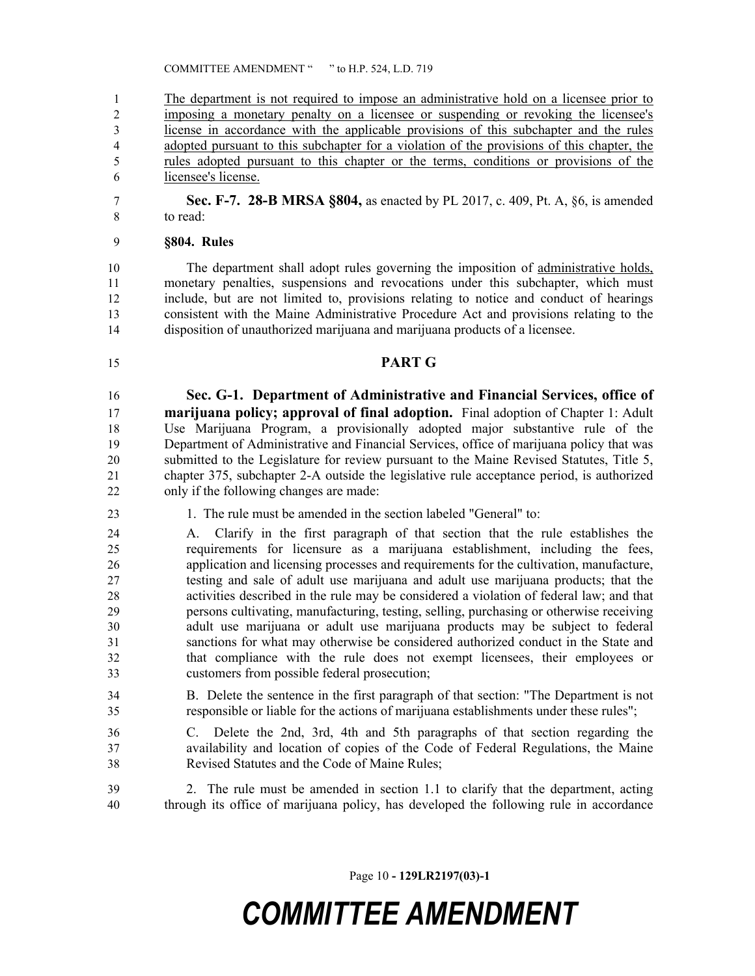COMMITTEE AMENDMENT " " to H.P. 524, L.D. 719

 The department is not required to impose an administrative hold on a licensee prior to imposing a monetary penalty on a licensee or suspending or revoking the licensee's license in accordance with the applicable provisions of this subchapter and the rules adopted pursuant to this subchapter for a violation of the provisions of this chapter, the rules adopted pursuant to this chapter or the terms, conditions or provisions of the licensee's license.

 **Sec. F-7. 28-B MRSA §804,** as enacted by PL 2017, c. 409, Pt. A, §6, is amended to read:

#### **§804. Rules**

 The department shall adopt rules governing the imposition of administrative holds, monetary penalties, suspensions and revocations under this subchapter, which must include, but are not limited to, provisions relating to notice and conduct of hearings consistent with the Maine Administrative Procedure Act and provisions relating to the disposition of unauthorized marijuana and marijuana products of a licensee.

**PART G**

 **Sec. G-1. Department of Administrative and Financial Services, office of marijuana policy; approval of final adoption.** Final adoption of Chapter 1: Adult Use Marijuana Program, a provisionally adopted major substantive rule of the Department of Administrative and Financial Services, office of marijuana policy that was submitted to the Legislature for review pursuant to the Maine Revised Statutes, Title 5, chapter 375, subchapter 2-A outside the legislative rule acceptance period, is authorized only if the following changes are made:

1. The rule must be amended in the section labeled "General" to:

 A. Clarify in the first paragraph of that section that the rule establishes the requirements for licensure as a marijuana establishment, including the fees, application and licensing processes and requirements for the cultivation, manufacture, testing and sale of adult use marijuana and adult use marijuana products; that the activities described in the rule may be considered a violation of federal law; and that persons cultivating, manufacturing, testing, selling, purchasing or otherwise receiving adult use marijuana or adult use marijuana products may be subject to federal sanctions for what may otherwise be considered authorized conduct in the State and that compliance with the rule does not exempt licensees, their employees or customers from possible federal prosecution;

- B. Delete the sentence in the first paragraph of that section: "The Department is not responsible or liable for the actions of marijuana establishments under these rules";
- C. Delete the 2nd, 3rd, 4th and 5th paragraphs of that section regarding the availability and location of copies of the Code of Federal Regulations, the Maine Revised Statutes and the Code of Maine Rules;

 2. The rule must be amended in section 1.1 to clarify that the department, acting through its office of marijuana policy, has developed the following rule in accordance

Page 10 **- 129LR2197(03)-1**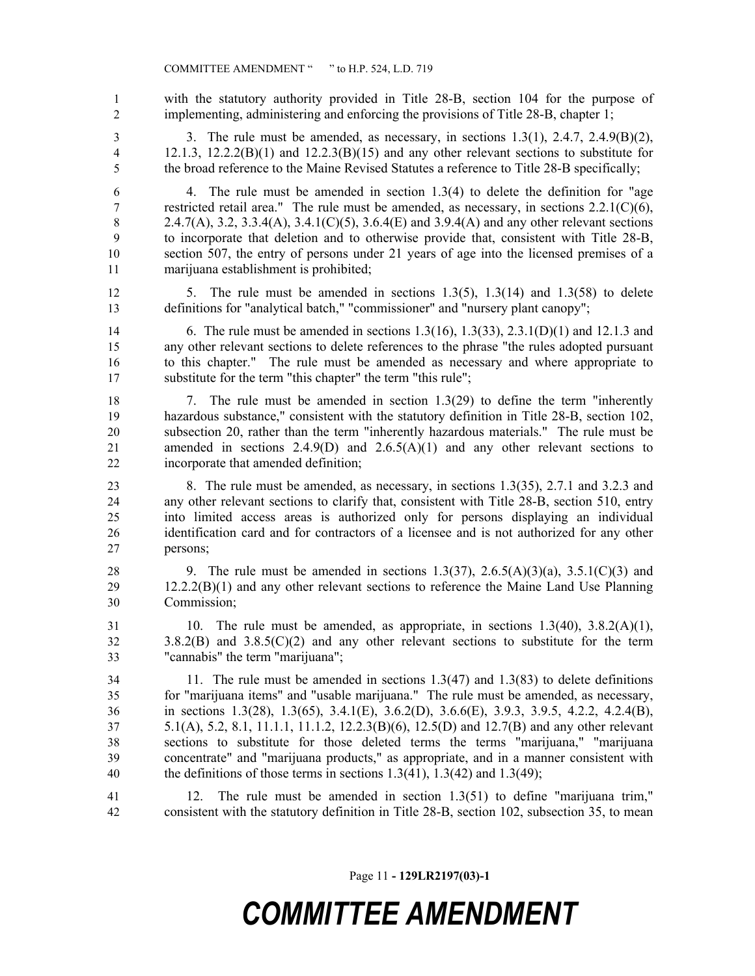COMMITTEE AMENDMENT " " to H.P. 524, L.D. 719

 with the statutory authority provided in Title 28-B, section 104 for the purpose of implementing, administering and enforcing the provisions of Title 28-B, chapter 1;

 3. The rule must be amended, as necessary, in sections 1.3(1), 2.4.7, 2.4.9(B)(2), 12.1.3, 12.2.2(B)(1) and 12.2.3(B)(15) and any other relevant sections to substitute for the broad reference to the Maine Revised Statutes a reference to Title 28-B specifically;

 4. The rule must be amended in section 1.3(4) to delete the definition for "age restricted retail area." The rule must be amended, as necessary, in sections 2.2.1(C)(6), 8 2.4.7(A), 3.2, 3.3.4(A), 3.4.1(C)(5), 3.6.4(E) and 3.9.4(A) and any other relevant sections to incorporate that deletion and to otherwise provide that, consistent with Title 28-B, section 507, the entry of persons under 21 years of age into the licensed premises of a marijuana establishment is prohibited;

12 5. The rule must be amended in sections 1.3(5), 1.3(14) and 1.3(58) to delete definitions for "analytical batch," "commissioner" and "nursery plant canopy";

 6. The rule must be amended in sections 1.3(16), 1.3(33), 2.3.1(D)(1) and 12.1.3 and any other relevant sections to delete references to the phrase "the rules adopted pursuant to this chapter." The rule must be amended as necessary and where appropriate to substitute for the term "this chapter" the term "this rule";

 7. The rule must be amended in section 1.3(29) to define the term "inherently hazardous substance," consistent with the statutory definition in Title 28-B, section 102, subsection 20, rather than the term "inherently hazardous materials." The rule must be amended in sections 2.4.9(D) and 2.6.5(A)(1) and any other relevant sections to incorporate that amended definition;

 8. The rule must be amended, as necessary, in sections 1.3(35), 2.7.1 and 3.2.3 and any other relevant sections to clarify that, consistent with Title 28-B, section 510, entry into limited access areas is authorized only for persons displaying an individual identification card and for contractors of a licensee and is not authorized for any other persons;

28 9. The rule must be amended in sections  $1.3(37)$ ,  $2.6.5(A)(3)(a)$ ,  $3.5.1(C)(3)$  and 12.2.2(B)(1) and any other relevant sections to reference the Maine Land Use Planning Commission;

 10. The rule must be amended, as appropriate, in sections 1.3(40), 3.8.2(A)(1), 3.8.2(B) and 3.8.5(C)(2) and any other relevant sections to substitute for the term "cannabis" the term "marijuana";

 11. The rule must be amended in sections 1.3(47) and 1.3(83) to delete definitions for "marijuana items" and "usable marijuana." The rule must be amended, as necessary, in sections 1.3(28), 1.3(65), 3.4.1(E), 3.6.2(D), 3.6.6(E), 3.9.3, 3.9.5, 4.2.2, 4.2.4(B), 5.1(A), 5.2, 8.1, 11.1.1, 11.1.2, 12.2.3(B)(6), 12.5(D) and 12.7(B) and any other relevant sections to substitute for those deleted terms the terms "marijuana," "marijuana concentrate" and "marijuana products," as appropriate, and in a manner consistent with 40 the definitions of those terms in sections  $1.3(41)$ ,  $1.3(42)$  and  $1.3(49)$ ;

 12. The rule must be amended in section 1.3(51) to define "marijuana trim," consistent with the statutory definition in Title 28-B, section 102, subsection 35, to mean

Page 11 **- 129LR2197(03)-1**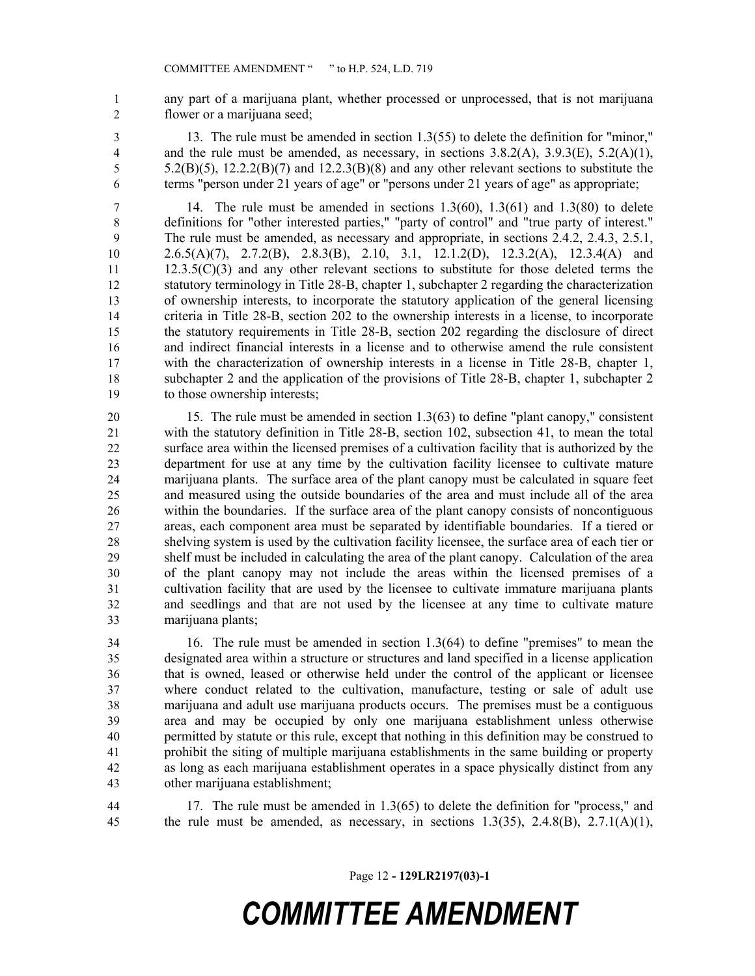- any part of a marijuana plant, whether processed or unprocessed, that is not marijuana flower or a marijuana seed;
- 13. The rule must be amended in section 1.3(55) to delete the definition for "minor," 4 and the rule must be amended, as necessary, in sections  $3.8.2(A)$ ,  $3.9.3(E)$ ,  $5.2(A)(1)$ , 5.2(B)(5),  $12.2.2(B)(7)$  and  $12.2.3(B)(8)$  and any other relevant sections to substitute the terms "person under 21 years of age" or "persons under 21 years of age" as appropriate;
- 

 14. The rule must be amended in sections 1.3(60), 1.3(61) and 1.3(80) to delete definitions for "other interested parties," "party of control" and "true party of interest." The rule must be amended, as necessary and appropriate, in sections 2.4.2, 2.4.3, 2.5.1, 2.6.5(A)(7), 2.7.2(B), 2.8.3(B), 2.10, 3.1, 12.1.2(D), 12.3.2(A), 12.3.4(A) and 11 12.3.5(C)(3) and any other relevant sections to substitute for those deleted terms the statutory terminology in Title 28-B, chapter 1, subchapter 2 regarding the characterization of ownership interests, to incorporate the statutory application of the general licensing criteria in Title 28-B, section 202 to the ownership interests in a license, to incorporate the statutory requirements in Title 28-B, section 202 regarding the disclosure of direct and indirect financial interests in a license and to otherwise amend the rule consistent with the characterization of ownership interests in a license in Title 28-B, chapter 1, subchapter 2 and the application of the provisions of Title 28-B, chapter 1, subchapter 2 to those ownership interests;

 15. The rule must be amended in section 1.3(63) to define "plant canopy," consistent with the statutory definition in Title 28-B, section 102, subsection 41, to mean the total surface area within the licensed premises of a cultivation facility that is authorized by the department for use at any time by the cultivation facility licensee to cultivate mature marijuana plants. The surface area of the plant canopy must be calculated in square feet and measured using the outside boundaries of the area and must include all of the area within the boundaries. If the surface area of the plant canopy consists of noncontiguous areas, each component area must be separated by identifiable boundaries. If a tiered or shelving system is used by the cultivation facility licensee, the surface area of each tier or shelf must be included in calculating the area of the plant canopy. Calculation of the area of the plant canopy may not include the areas within the licensed premises of a cultivation facility that are used by the licensee to cultivate immature marijuana plants and seedlings and that are not used by the licensee at any time to cultivate mature marijuana plants;

 16. The rule must be amended in section 1.3(64) to define "premises" to mean the designated area within a structure or structures and land specified in a license application that is owned, leased or otherwise held under the control of the applicant or licensee where conduct related to the cultivation, manufacture, testing or sale of adult use marijuana and adult use marijuana products occurs. The premises must be a contiguous area and may be occupied by only one marijuana establishment unless otherwise permitted by statute or this rule, except that nothing in this definition may be construed to prohibit the siting of multiple marijuana establishments in the same building or property as long as each marijuana establishment operates in a space physically distinct from any other marijuana establishment;

 17. The rule must be amended in 1.3(65) to delete the definition for "process," and the rule must be amended, as necessary, in sections 1.3(35), 2.4.8(B), 2.7.1(A)(1),

Page 12 **- 129LR2197(03)-1**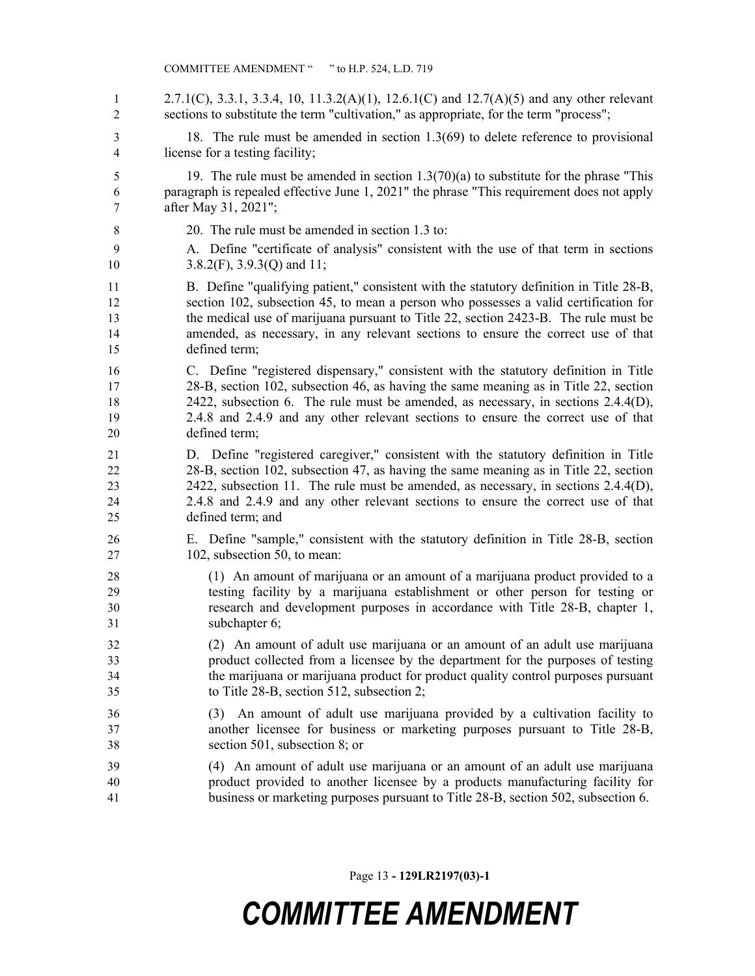- 2.7.1(C), 3.3.1, 3.3.4, 10, 11.3.2(A)(1), 12.6.1(C) and 12.7(A)(5) and any other relevant sections to substitute the term "cultivation," as appropriate, for the term "process";
- 18. The rule must be amended in section 1.3(69) to delete reference to provisional license for a testing facility;
- 19. The rule must be amended in section 1.3(70)(a) to substitute for the phrase "This paragraph is repealed effective June 1, 2021" the phrase "This requirement does not apply after May 31, 2021";
- 20. The rule must be amended in section 1.3 to:
- A. Define "certificate of analysis" consistent with the use of that term in sections 10 3.8.2(F), 3.9.3(Q) and 11;
- B. Define "qualifying patient," consistent with the statutory definition in Title 28-B, section 102, subsection 45, to mean a person who possesses a valid certification for the medical use of marijuana pursuant to Title 22, section 2423-B. The rule must be amended, as necessary, in any relevant sections to ensure the correct use of that defined term;
- C. Define "registered dispensary," consistent with the statutory definition in Title 28-B, section 102, subsection 46, as having the same meaning as in Title 22, section 2422, subsection 6. The rule must be amended, as necessary, in sections 2.4.4(D), 2.4.8 and 2.4.9 and any other relevant sections to ensure the correct use of that defined term;
- D. Define "registered caregiver," consistent with the statutory definition in Title 28-B, section 102, subsection 47, as having the same meaning as in Title 22, section 2422, subsection 11. The rule must be amended, as necessary, in sections 2.4.4(D), 2.4.8 and 2.4.9 and any other relevant sections to ensure the correct use of that defined term; and
- E. Define "sample," consistent with the statutory definition in Title 28-B, section 102, subsection 50, to mean:
- (1) An amount of marijuana or an amount of a marijuana product provided to a testing facility by a marijuana establishment or other person for testing or research and development purposes in accordance with Title 28-B, chapter 1, subchapter 6;
- (2) An amount of adult use marijuana or an amount of an adult use marijuana product collected from a licensee by the department for the purposes of testing the marijuana or marijuana product for product quality control purposes pursuant to Title 28-B, section 512, subsection 2;
- (3) An amount of adult use marijuana provided by a cultivation facility to another licensee for business or marketing purposes pursuant to Title 28-B, section 501, subsection 8; or
- (4) An amount of adult use marijuana or an amount of an adult use marijuana product provided to another licensee by a products manufacturing facility for business or marketing purposes pursuant to Title 28-B, section 502, subsection 6.

Page 13 **- 129LR2197(03)-1**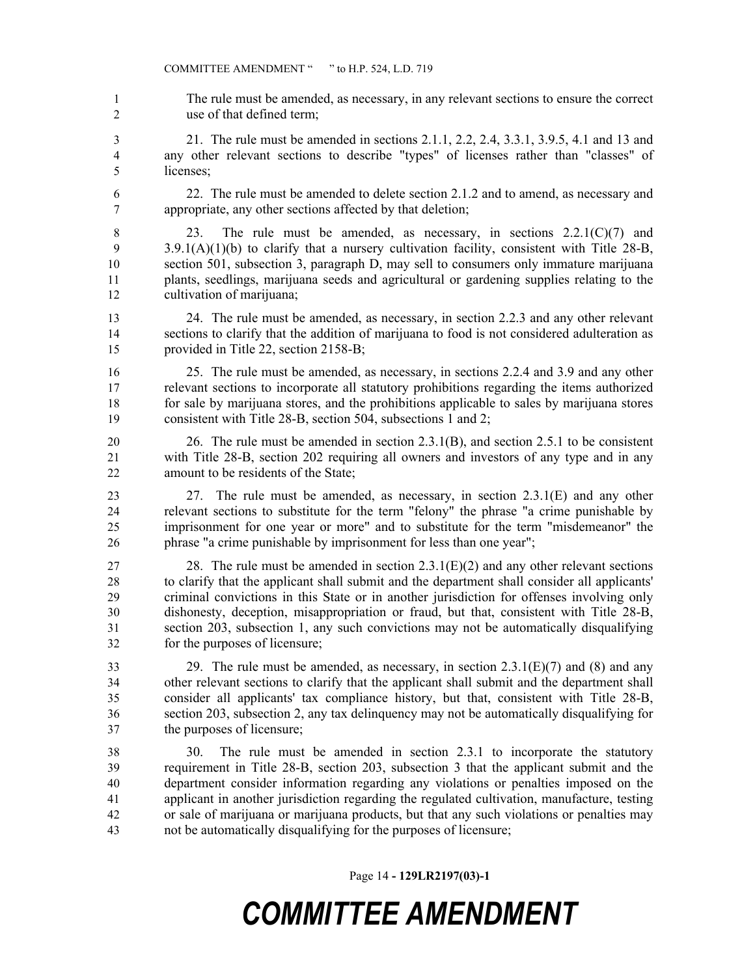The rule must be amended, as necessary, in any relevant sections to ensure the correct use of that defined term;

 21. The rule must be amended in sections 2.1.1, 2.2, 2.4, 3.3.1, 3.9.5, 4.1 and 13 and any other relevant sections to describe "types" of licenses rather than "classes" of licenses;

 22. The rule must be amended to delete section 2.1.2 and to amend, as necessary and appropriate, any other sections affected by that deletion;

 23. The rule must be amended, as necessary, in sections 2.2.1(C)(7) and 9 3.9.1(A)(1)(b) to clarify that a nursery cultivation facility, consistent with Title 28-B, section 501, subsection 3, paragraph D, may sell to consumers only immature marijuana plants, seedlings, marijuana seeds and agricultural or gardening supplies relating to the cultivation of marijuana;

 24. The rule must be amended, as necessary, in section 2.2.3 and any other relevant sections to clarify that the addition of marijuana to food is not considered adulteration as provided in Title 22, section 2158-B;

 25. The rule must be amended, as necessary, in sections 2.2.4 and 3.9 and any other relevant sections to incorporate all statutory prohibitions regarding the items authorized for sale by marijuana stores, and the prohibitions applicable to sales by marijuana stores consistent with Title 28-B, section 504, subsections 1 and 2;

 26. The rule must be amended in section 2.3.1(B), and section 2.5.1 to be consistent with Title 28-B, section 202 requiring all owners and investors of any type and in any amount to be residents of the State;

 27. The rule must be amended, as necessary, in section 2.3.1(E) and any other relevant sections to substitute for the term "felony" the phrase "a crime punishable by imprisonment for one year or more" and to substitute for the term "misdemeanor" the phrase "a crime punishable by imprisonment for less than one year";

27 28. The rule must be amended in section  $2.3.1(E)(2)$  and any other relevant sections to clarify that the applicant shall submit and the department shall consider all applicants' criminal convictions in this State or in another jurisdiction for offenses involving only dishonesty, deception, misappropriation or fraud, but that, consistent with Title 28-B, section 203, subsection 1, any such convictions may not be automatically disqualifying for the purposes of licensure;

33 29. The rule must be amended, as necessary, in section  $2.3.1(E)(7)$  and (8) and any other relevant sections to clarify that the applicant shall submit and the department shall consider all applicants' tax compliance history, but that, consistent with Title 28-B, section 203, subsection 2, any tax delinquency may not be automatically disqualifying for the purposes of licensure;

 30. The rule must be amended in section 2.3.1 to incorporate the statutory requirement in Title 28-B, section 203, subsection 3 that the applicant submit and the department consider information regarding any violations or penalties imposed on the applicant in another jurisdiction regarding the regulated cultivation, manufacture, testing or sale of marijuana or marijuana products, but that any such violations or penalties may not be automatically disqualifying for the purposes of licensure;

Page 14 **- 129LR2197(03)-1**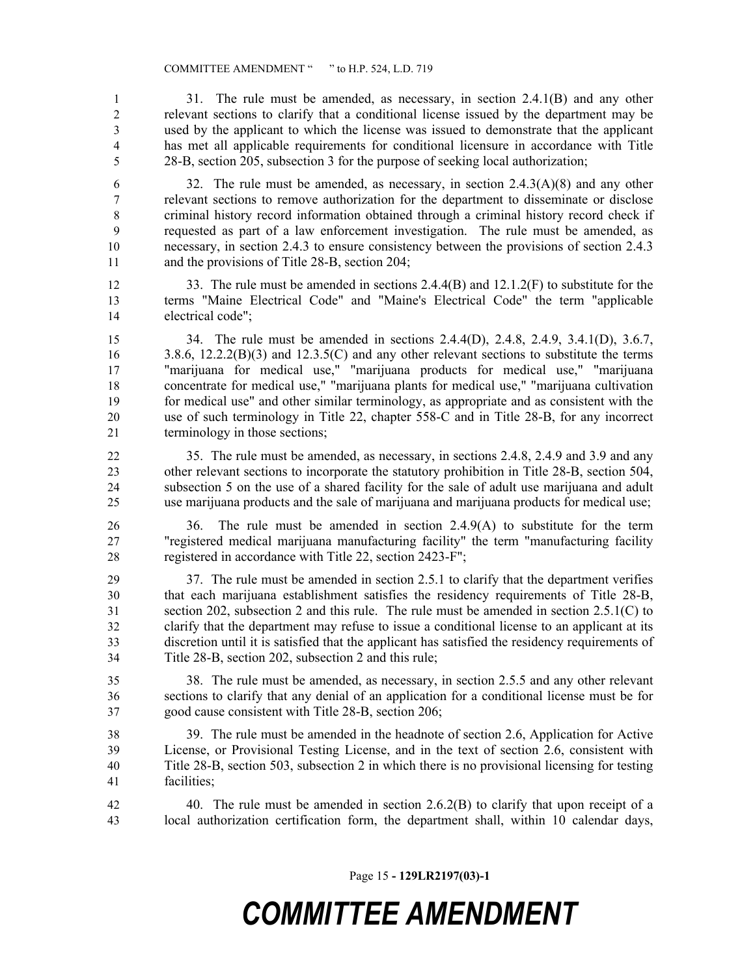31. The rule must be amended, as necessary, in section 2.4.1(B) and any other relevant sections to clarify that a conditional license issued by the department may be used by the applicant to which the license was issued to demonstrate that the applicant has met all applicable requirements for conditional licensure in accordance with Title 28-B, section 205, subsection 3 for the purpose of seeking local authorization;

6 32. The rule must be amended, as necessary, in section  $2.4.3(A)(8)$  and any other relevant sections to remove authorization for the department to disseminate or disclose criminal history record information obtained through a criminal history record check if requested as part of a law enforcement investigation. The rule must be amended, as necessary, in section 2.4.3 to ensure consistency between the provisions of section 2.4.3 and the provisions of Title 28-B, section 204;

12 33. The rule must be amended in sections 2.4.4(B) and 12.1.2(F) to substitute for the terms "Maine Electrical Code" and "Maine's Electrical Code" the term "applicable electrical code";

 34. The rule must be amended in sections 2.4.4(D), 2.4.8, 2.4.9, 3.4.1(D), 3.6.7, 16 3.8.6, 12.2.2(B)(3) and 12.3.5(C) and any other relevant sections to substitute the terms "marijuana for medical use," "marijuana products for medical use," "marijuana concentrate for medical use," "marijuana plants for medical use," "marijuana cultivation for medical use" and other similar terminology, as appropriate and as consistent with the use of such terminology in Title 22, chapter 558-C and in Title 28-B, for any incorrect terminology in those sections;

 35. The rule must be amended, as necessary, in sections 2.4.8, 2.4.9 and 3.9 and any other relevant sections to incorporate the statutory prohibition in Title 28-B, section 504, subsection 5 on the use of a shared facility for the sale of adult use marijuana and adult use marijuana products and the sale of marijuana and marijuana products for medical use;

 36. The rule must be amended in section 2.4.9(A) to substitute for the term "registered medical marijuana manufacturing facility" the term "manufacturing facility registered in accordance with Title 22, section 2423-F";

 37. The rule must be amended in section 2.5.1 to clarify that the department verifies that each marijuana establishment satisfies the residency requirements of Title 28-B, section 202, subsection 2 and this rule. The rule must be amended in section 2.5.1(C) to clarify that the department may refuse to issue a conditional license to an applicant at its discretion until it is satisfied that the applicant has satisfied the residency requirements of Title 28-B, section 202, subsection 2 and this rule;

 38. The rule must be amended, as necessary, in section 2.5.5 and any other relevant sections to clarify that any denial of an application for a conditional license must be for good cause consistent with Title 28-B, section 206;

39. The rule must be amended in the headnote of section 2.6, Application for Active

 License, or Provisional Testing License, and in the text of section 2.6, consistent with Title 28-B, section 503, subsection 2 in which there is no provisional licensing for testing facilities;

 40. The rule must be amended in section 2.6.2(B) to clarify that upon receipt of a local authorization certification form, the department shall, within 10 calendar days,

Page 15 **- 129LR2197(03)-1**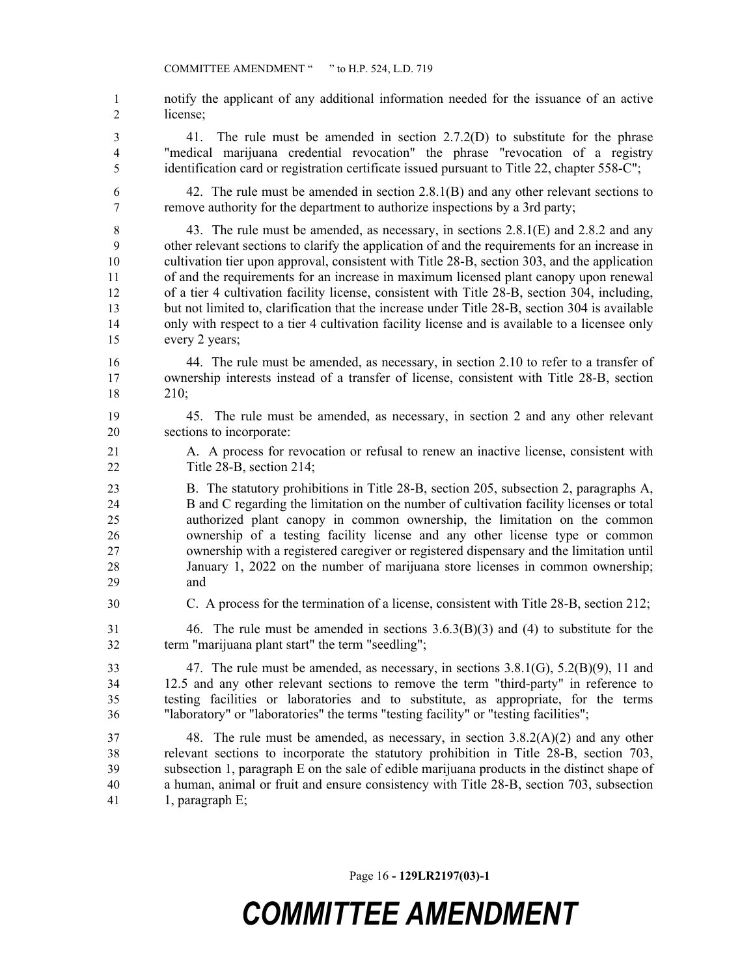notify the applicant of any additional information needed for the issuance of an active license;

 41. The rule must be amended in section 2.7.2(D) to substitute for the phrase "medical marijuana credential revocation" the phrase "revocation of a registry identification card or registration certificate issued pursuant to Title 22, chapter 558-C";

 42. The rule must be amended in section 2.8.1(B) and any other relevant sections to remove authority for the department to authorize inspections by a 3rd party;

 43. The rule must be amended, as necessary, in sections 2.8.1(E) and 2.8.2 and any other relevant sections to clarify the application of and the requirements for an increase in cultivation tier upon approval, consistent with Title 28-B, section 303, and the application of and the requirements for an increase in maximum licensed plant canopy upon renewal of a tier 4 cultivation facility license, consistent with Title 28-B, section 304, including, but not limited to, clarification that the increase under Title 28-B, section 304 is available only with respect to a tier 4 cultivation facility license and is available to a licensee only every 2 years;

 44. The rule must be amended, as necessary, in section 2.10 to refer to a transfer of ownership interests instead of a transfer of license, consistent with Title 28-B, section 210;

- 45. The rule must be amended, as necessary, in section 2 and any other relevant sections to incorporate:
- A. A process for revocation or refusal to renew an inactive license, consistent with Title 28-B, section 214;

 B. The statutory prohibitions in Title 28-B, section 205, subsection 2, paragraphs A, B and C regarding the limitation on the number of cultivation facility licenses or total authorized plant canopy in common ownership, the limitation on the common ownership of a testing facility license and any other license type or common ownership with a registered caregiver or registered dispensary and the limitation until January 1, 2022 on the number of marijuana store licenses in common ownership; and

C. A process for the termination of a license, consistent with Title 28-B, section 212;

 46. The rule must be amended in sections 3.6.3(B)(3) and (4) to substitute for the term "marijuana plant start" the term "seedling";

 47. The rule must be amended, as necessary, in sections 3.8.1(G), 5.2(B)(9), 11 and 12.5 and any other relevant sections to remove the term "third-party" in reference to testing facilities or laboratories and to substitute, as appropriate, for the terms "laboratory" or "laboratories" the terms "testing facility" or "testing facilities";

 48. The rule must be amended, as necessary, in section 3.8.2(A)(2) and any other relevant sections to incorporate the statutory prohibition in Title 28-B, section 703, subsection 1, paragraph E on the sale of edible marijuana products in the distinct shape of a human, animal or fruit and ensure consistency with Title 28-B, section 703, subsection 41 1, paragraph E;

Page 16 **- 129LR2197(03)-1**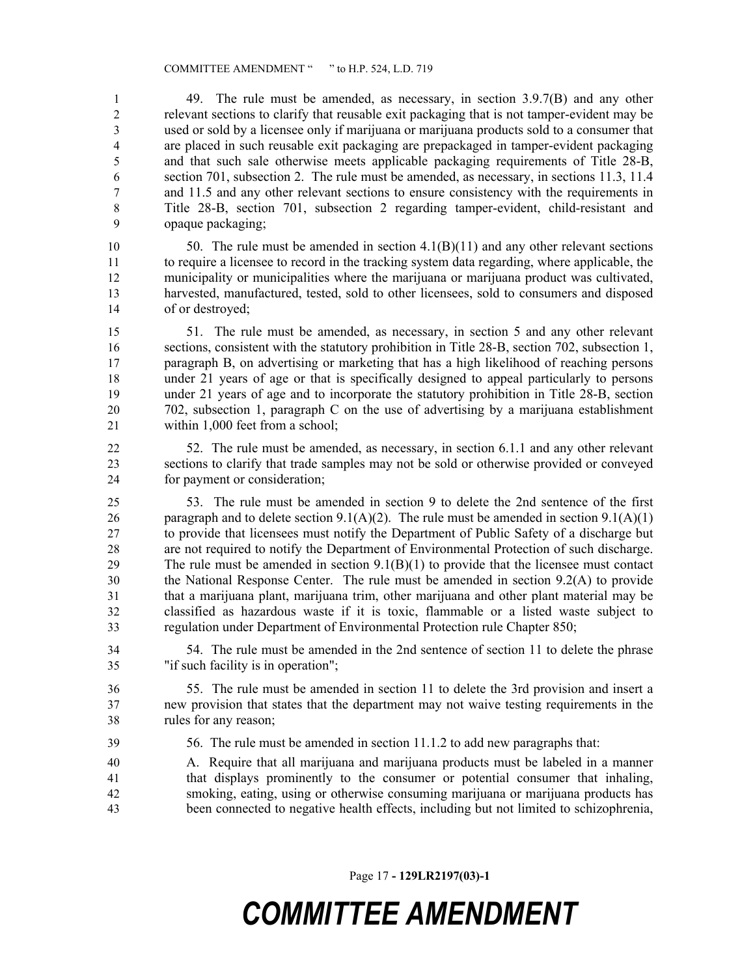49. The rule must be amended, as necessary, in section 3.9.7(B) and any other relevant sections to clarify that reusable exit packaging that is not tamper-evident may be used or sold by a licensee only if marijuana or marijuana products sold to a consumer that are placed in such reusable exit packaging are prepackaged in tamper-evident packaging and that such sale otherwise meets applicable packaging requirements of Title 28-B, section 701, subsection 2. The rule must be amended, as necessary, in sections 11.3, 11.4 and 11.5 and any other relevant sections to ensure consistency with the requirements in Title 28-B, section 701, subsection 2 regarding tamper-evident, child-resistant and opaque packaging;

 50. The rule must be amended in section 4.1(B)(11) and any other relevant sections to require a licensee to record in the tracking system data regarding, where applicable, the municipality or municipalities where the marijuana or marijuana product was cultivated, harvested, manufactured, tested, sold to other licensees, sold to consumers and disposed of or destroyed;

 51. The rule must be amended, as necessary, in section 5 and any other relevant sections, consistent with the statutory prohibition in Title 28-B, section 702, subsection 1, paragraph B, on advertising or marketing that has a high likelihood of reaching persons under 21 years of age or that is specifically designed to appeal particularly to persons under 21 years of age and to incorporate the statutory prohibition in Title 28-B, section 702, subsection 1, paragraph C on the use of advertising by a marijuana establishment within 1,000 feet from a school;

 52. The rule must be amended, as necessary, in section 6.1.1 and any other relevant sections to clarify that trade samples may not be sold or otherwise provided or conveyed for payment or consideration;

 53. The rule must be amended in section 9 to delete the 2nd sentence of the first 26 paragraph and to delete section 9.1(A)(2). The rule must be amended in section 9.1(A)(1) to provide that licensees must notify the Department of Public Safety of a discharge but are not required to notify the Department of Environmental Protection of such discharge. The rule must be amended in section 9.1(B)(1) to provide that the licensee must contact the National Response Center. The rule must be amended in section 9.2(A) to provide that a marijuana plant, marijuana trim, other marijuana and other plant material may be classified as hazardous waste if it is toxic, flammable or a listed waste subject to regulation under Department of Environmental Protection rule Chapter 850;

 54. The rule must be amended in the 2nd sentence of section 11 to delete the phrase "if such facility is in operation";

 55. The rule must be amended in section 11 to delete the 3rd provision and insert a new provision that states that the department may not waive testing requirements in the rules for any reason;

56. The rule must be amended in section 11.1.2 to add new paragraphs that:

 A. Require that all marijuana and marijuana products must be labeled in a manner that displays prominently to the consumer or potential consumer that inhaling, smoking, eating, using or otherwise consuming marijuana or marijuana products has been connected to negative health effects, including but not limited to schizophrenia,

Page 17 **- 129LR2197(03)-1**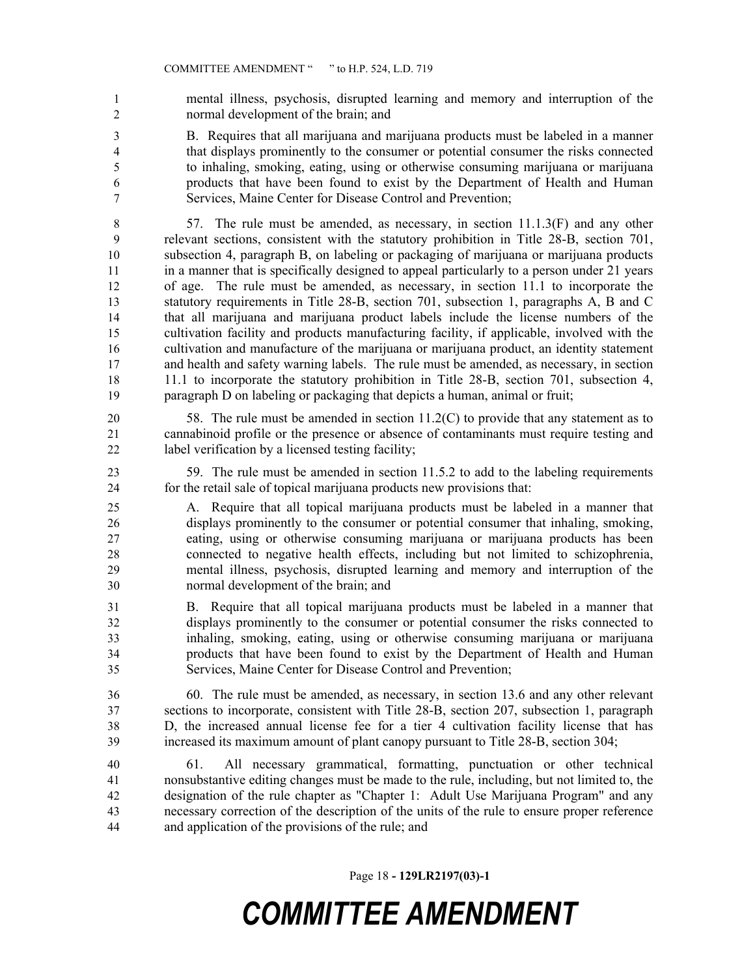mental illness, psychosis, disrupted learning and memory and interruption of the normal development of the brain; and

 B. Requires that all marijuana and marijuana products must be labeled in a manner that displays prominently to the consumer or potential consumer the risks connected to inhaling, smoking, eating, using or otherwise consuming marijuana or marijuana products that have been found to exist by the Department of Health and Human Services, Maine Center for Disease Control and Prevention;

 57. The rule must be amended, as necessary, in section 11.1.3(F) and any other relevant sections, consistent with the statutory prohibition in Title 28-B, section 701, subsection 4, paragraph B, on labeling or packaging of marijuana or marijuana products in a manner that is specifically designed to appeal particularly to a person under 21 years of age. The rule must be amended, as necessary, in section 11.1 to incorporate the statutory requirements in Title 28-B, section 701, subsection 1, paragraphs A, B and C that all marijuana and marijuana product labels include the license numbers of the cultivation facility and products manufacturing facility, if applicable, involved with the cultivation and manufacture of the marijuana or marijuana product, an identity statement and health and safety warning labels. The rule must be amended, as necessary, in section 11.1 to incorporate the statutory prohibition in Title 28-B, section 701, subsection 4, paragraph D on labeling or packaging that depicts a human, animal or fruit;

 58. The rule must be amended in section 11.2(C) to provide that any statement as to cannabinoid profile or the presence or absence of contaminants must require testing and label verification by a licensed testing facility;

 59. The rule must be amended in section 11.5.2 to add to the labeling requirements for the retail sale of topical marijuana products new provisions that:

 A. Require that all topical marijuana products must be labeled in a manner that displays prominently to the consumer or potential consumer that inhaling, smoking, eating, using or otherwise consuming marijuana or marijuana products has been connected to negative health effects, including but not limited to schizophrenia, mental illness, psychosis, disrupted learning and memory and interruption of the normal development of the brain; and

 B. Require that all topical marijuana products must be labeled in a manner that displays prominently to the consumer or potential consumer the risks connected to inhaling, smoking, eating, using or otherwise consuming marijuana or marijuana products that have been found to exist by the Department of Health and Human Services, Maine Center for Disease Control and Prevention;

 60. The rule must be amended, as necessary, in section 13.6 and any other relevant sections to incorporate, consistent with Title 28-B, section 207, subsection 1, paragraph D, the increased annual license fee for a tier 4 cultivation facility license that has increased its maximum amount of plant canopy pursuant to Title 28-B, section 304;

 61. All necessary grammatical, formatting, punctuation or other technical nonsubstantive editing changes must be made to the rule, including, but not limited to, the designation of the rule chapter as "Chapter 1: Adult Use Marijuana Program" and any necessary correction of the description of the units of the rule to ensure proper reference and application of the provisions of the rule; and

Page 18 **- 129LR2197(03)-1**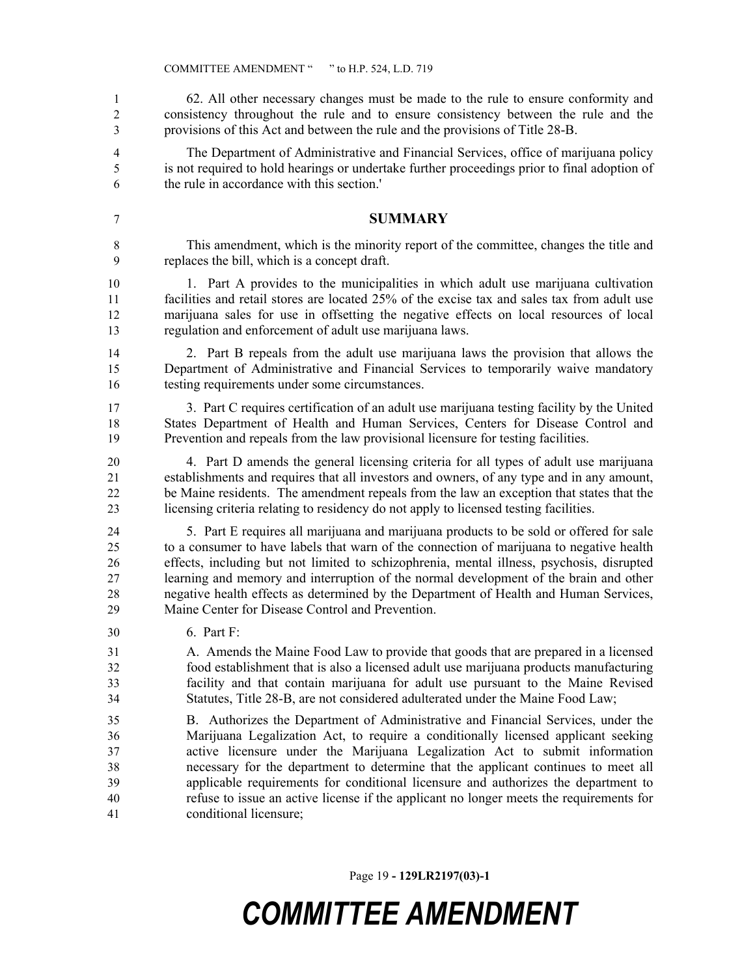62. All other necessary changes must be made to the rule to ensure conformity and consistency throughout the rule and to ensure consistency between the rule and the provisions of this Act and between the rule and the provisions of Title 28-B.

 The Department of Administrative and Financial Services, office of marijuana policy is not required to hold hearings or undertake further proceedings prior to final adoption of the rule in accordance with this section.'

#### **SUMMARY**

 This amendment, which is the minority report of the committee, changes the title and replaces the bill, which is a concept draft.

 1. Part A provides to the municipalities in which adult use marijuana cultivation 11 facilities and retail stores are located 25% of the excise tax and sales tax from adult use marijuana sales for use in offsetting the negative effects on local resources of local regulation and enforcement of adult use marijuana laws.

 2. Part B repeals from the adult use marijuana laws the provision that allows the Department of Administrative and Financial Services to temporarily waive mandatory testing requirements under some circumstances.

 3. Part C requires certification of an adult use marijuana testing facility by the United States Department of Health and Human Services, Centers for Disease Control and Prevention and repeals from the law provisional licensure for testing facilities.

 4. Part D amends the general licensing criteria for all types of adult use marijuana establishments and requires that all investors and owners, of any type and in any amount, be Maine residents. The amendment repeals from the law an exception that states that the licensing criteria relating to residency do not apply to licensed testing facilities.

 5. Part E requires all marijuana and marijuana products to be sold or offered for sale to a consumer to have labels that warn of the connection of marijuana to negative health effects, including but not limited to schizophrenia, mental illness, psychosis, disrupted learning and memory and interruption of the normal development of the brain and other negative health effects as determined by the Department of Health and Human Services, Maine Center for Disease Control and Prevention.

6. Part F:

 A. Amends the Maine Food Law to provide that goods that are prepared in a licensed food establishment that is also a licensed adult use marijuana products manufacturing facility and that contain marijuana for adult use pursuant to the Maine Revised Statutes, Title 28-B, are not considered adulterated under the Maine Food Law;

 B. Authorizes the Department of Administrative and Financial Services, under the Marijuana Legalization Act, to require a conditionally licensed applicant seeking active licensure under the Marijuana Legalization Act to submit information necessary for the department to determine that the applicant continues to meet all applicable requirements for conditional licensure and authorizes the department to refuse to issue an active license if the applicant no longer meets the requirements for conditional licensure;

Page 19 **- 129LR2197(03)-1**